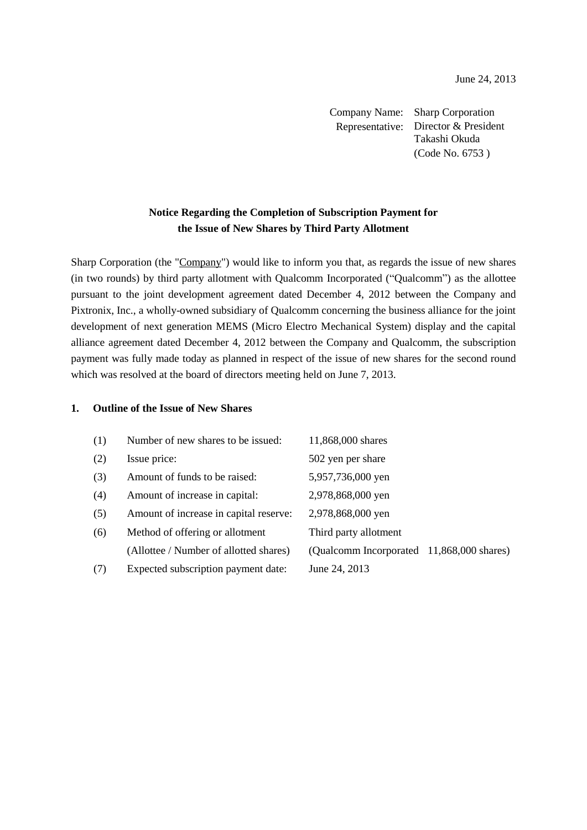Company Name: Sharp Corporation Representative: Director & President Takashi Okuda (Code No. 6753 )

## **Notice Regarding the Completion of Subscription Payment for the Issue of New Shares by Third Party Allotment**

Sharp Corporation (the "Company") would like to inform you that, as regards the issue of new shares (in two rounds) by third party allotment with Qualcomm Incorporated ("Qualcomm") as the allottee pursuant to the joint development agreement dated December 4, 2012 between the Company and Pixtronix, Inc., a wholly-owned subsidiary of Qualcomm concerning the business alliance for the joint development of next generation MEMS (Micro Electro Mechanical System) display and the capital alliance agreement dated December 4, 2012 between the Company and Qualcomm, the subscription payment was fully made today as planned in respect of the issue of new shares for the second round which was resolved at the board of directors meeting held on June 7, 2013.

## **1. Outline of the Issue of New Shares**

| (1) | Number of new shares to be issued:     | 11,868,000 shares                         |  |
|-----|----------------------------------------|-------------------------------------------|--|
| (2) | Issue price:                           | 502 yen per share                         |  |
| (3) | Amount of funds to be raised:          | 5,957,736,000 yen                         |  |
| (4) | Amount of increase in capital:         | 2,978,868,000 yen                         |  |
| (5) | Amount of increase in capital reserve: | 2,978,868,000 yen                         |  |
| (6) | Method of offering or allotment        | Third party allotment                     |  |
|     | (Allottee / Number of allotted shares) | (Qualcomm Incorporated 11,868,000 shares) |  |
| (7) | Expected subscription payment date:    | June 24, 2013                             |  |